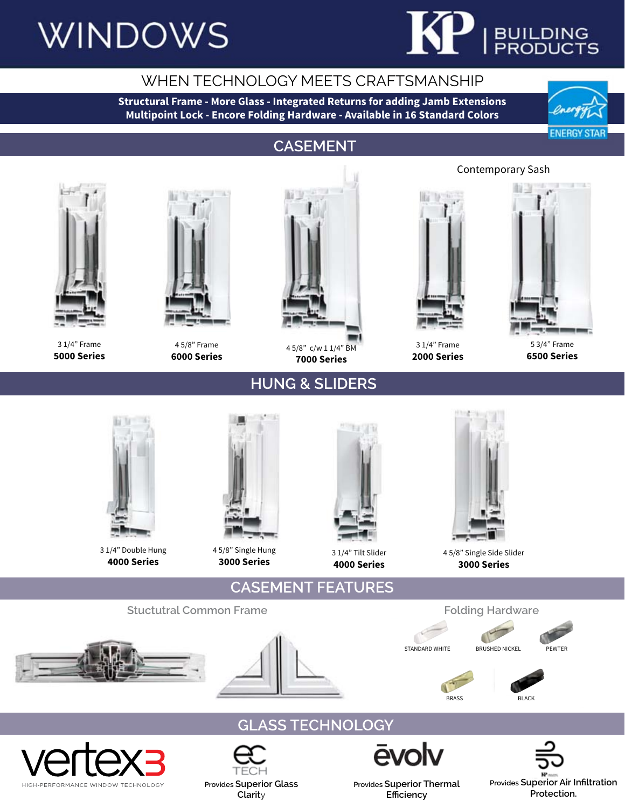# **WINDOWS**



### WHEN TECHNOLOGY MEETS CRAFTSMANSHIP

**Structural Frame - More Glass - Integrated Returns for adding Jamb Extensions Multipoint Lock - Encore Folding Hardware - Available in 16 Standard Colors**



### **CASEMENT**



3 1/4" Frame **5000 Series**



4 5/8" Frame **6000 Series**



4 5/8" c/w 1 1/4" BM **7000 Series**

**HUNG & SLIDERS**



3 1/4" Frame **2000 Series**



5 3/4" Frame **6500 Series**



3 1/4" Double Hung **4000 Series**



4 5/8" Single Hung **3000 Series**

**Provides Superior Glass Clarit**y



**4000 Series**



4 5/8" Single Side Slider **3000 Series**











**Provides Superior Thermal Efficiency**

Contemporary Sash